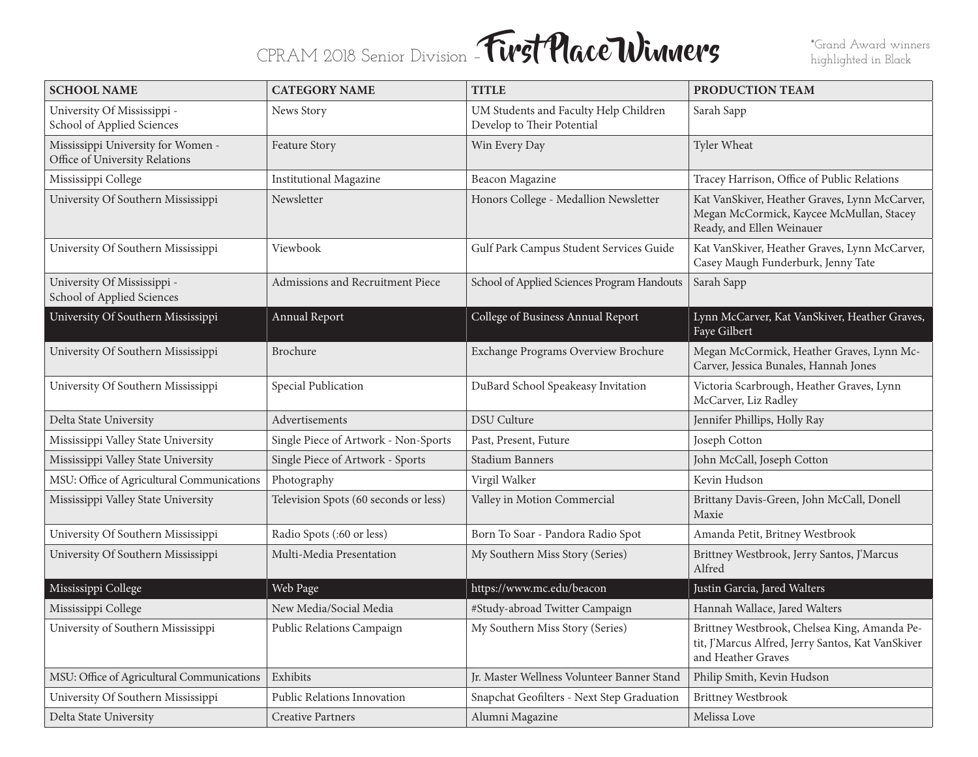## CPRAM 2018 Senior Division – **First Place Winners** \*Grand Award winners

| <b>SCHOOL NAME</b>                                                   | <b>CATEGORY NAME</b>                    | <b>TITLE</b>                                                        | PRODUCTION TEAM                                                                                                         |
|----------------------------------------------------------------------|-----------------------------------------|---------------------------------------------------------------------|-------------------------------------------------------------------------------------------------------------------------|
| University Of Mississippi -<br>School of Applied Sciences            | News Story                              | UM Students and Faculty Help Children<br>Develop to Their Potential | Sarah Sapp                                                                                                              |
| Mississippi University for Women -<br>Office of University Relations | Feature Story                           | Win Every Day                                                       | Tyler Wheat                                                                                                             |
| Mississippi College                                                  | <b>Institutional Magazine</b>           | Beacon Magazine                                                     | Tracey Harrison, Office of Public Relations                                                                             |
| University Of Southern Mississippi                                   | Newsletter                              | Honors College - Medallion Newsletter                               | Kat VanSkiver, Heather Graves, Lynn McCarver,<br>Megan McCormick, Kaycee McMullan, Stacey<br>Ready, and Ellen Weinauer  |
| University Of Southern Mississippi                                   | Viewbook                                | Gulf Park Campus Student Services Guide                             | Kat VanSkiver, Heather Graves, Lynn McCarver,<br>Casey Maugh Funderburk, Jenny Tate                                     |
| University Of Mississippi -<br>School of Applied Sciences            | <b>Admissions and Recruitment Piece</b> | School of Applied Sciences Program Handouts                         | Sarah Sapp                                                                                                              |
| University Of Southern Mississippi                                   | Annual Report                           | College of Business Annual Report                                   | Lynn McCarver, Kat VanSkiver, Heather Graves,<br>Faye Gilbert                                                           |
| University Of Southern Mississippi                                   | Brochure                                | Exchange Programs Overview Brochure                                 | Megan McCormick, Heather Graves, Lynn Mc-<br>Carver, Jessica Bunales, Hannah Jones                                      |
| University Of Southern Mississippi                                   | Special Publication                     | DuBard School Speakeasy Invitation                                  | Victoria Scarbrough, Heather Graves, Lynn<br>McCarver, Liz Radley                                                       |
| Delta State University                                               | Advertisements                          | <b>DSU</b> Culture                                                  | Jennifer Phillips, Holly Ray                                                                                            |
| Mississippi Valley State University                                  | Single Piece of Artwork - Non-Sports    | Past, Present, Future                                               | Joseph Cotton                                                                                                           |
| Mississippi Valley State University                                  | Single Piece of Artwork - Sports        | Stadium Banners                                                     | John McCall, Joseph Cotton                                                                                              |
| MSU: Office of Agricultural Communications                           | Photography                             | Virgil Walker                                                       | Kevin Hudson                                                                                                            |
| Mississippi Valley State University                                  | Television Spots (60 seconds or less)   | Valley in Motion Commercial                                         | Brittany Davis-Green, John McCall, Donell<br>Maxie                                                                      |
| University Of Southern Mississippi                                   | Radio Spots (:60 or less)               | Born To Soar - Pandora Radio Spot                                   | Amanda Petit, Britney Westbrook                                                                                         |
| University Of Southern Mississippi                                   | Multi-Media Presentation                | My Southern Miss Story (Series)                                     | Brittney Westbrook, Jerry Santos, J'Marcus<br>Alfred                                                                    |
| Mississippi College                                                  | Web Page                                | https://www.mc.edu/beacon                                           | Justin Garcia, Jared Walters                                                                                            |
| Mississippi College                                                  | New Media/Social Media                  | #Study-abroad Twitter Campaign                                      | Hannah Wallace, Jared Walters                                                                                           |
| University of Southern Mississippi                                   | Public Relations Campaign               | My Southern Miss Story (Series)                                     | Brittney Westbrook, Chelsea King, Amanda Pe-<br>tit, J'Marcus Alfred, Jerry Santos, Kat VanSkiver<br>and Heather Graves |
| MSU: Office of Agricultural Communications                           | Exhibits                                | Jr. Master Wellness Volunteer Banner Stand                          | Philip Smith, Kevin Hudson                                                                                              |
| University Of Southern Mississippi                                   | Public Relations Innovation             | Snapchat Geofilters - Next Step Graduation                          | Brittney Westbrook                                                                                                      |
| Delta State University                                               | <b>Creative Partners</b>                | Alumni Magazine                                                     | Melissa Love                                                                                                            |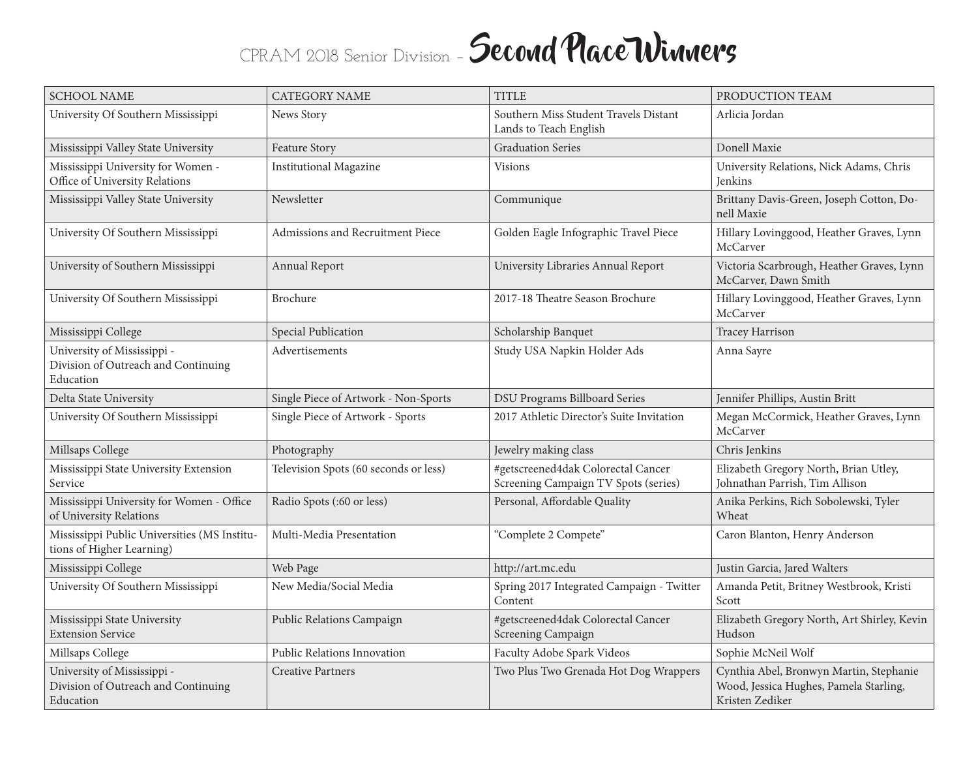## CPRAM 2018 Senior Division - Second Place Winners

| <b>SCHOOL NAME</b>                                                              | <b>CATEGORY NAME</b>                  | <b>TITLE</b>                                                               | PRODUCTION TEAM                                                                                      |
|---------------------------------------------------------------------------------|---------------------------------------|----------------------------------------------------------------------------|------------------------------------------------------------------------------------------------------|
| University Of Southern Mississippi                                              | News Story                            | Southern Miss Student Travels Distant<br>Lands to Teach English            | Arlicia Jordan                                                                                       |
| Mississippi Valley State University                                             | Feature Story                         | <b>Graduation Series</b>                                                   | Donell Maxie                                                                                         |
| Mississippi University for Women -<br>Office of University Relations            | <b>Institutional Magazine</b>         | <b>Visions</b>                                                             | University Relations, Nick Adams, Chris<br><b>Jenkins</b>                                            |
| Mississippi Valley State University                                             | Newsletter                            | Communique                                                                 | Brittany Davis-Green, Joseph Cotton, Do-<br>nell Maxie                                               |
| University Of Southern Mississippi                                              | Admissions and Recruitment Piece      | Golden Eagle Infographic Travel Piece                                      | Hillary Lovinggood, Heather Graves, Lynn<br>McCarver                                                 |
| University of Southern Mississippi                                              | Annual Report                         | University Libraries Annual Report                                         | Victoria Scarbrough, Heather Graves, Lynn<br>McCarver, Dawn Smith                                    |
| University Of Southern Mississippi                                              | <b>Brochure</b>                       | 2017-18 Theatre Season Brochure                                            | Hillary Lovinggood, Heather Graves, Lynn<br>McCarver                                                 |
| Mississippi College                                                             | Special Publication                   | Scholarship Banquet                                                        | Tracey Harrison                                                                                      |
| University of Mississippi -<br>Division of Outreach and Continuing<br>Education | Advertisements                        | Study USA Napkin Holder Ads                                                | Anna Sayre                                                                                           |
| Delta State University                                                          | Single Piece of Artwork - Non-Sports  | DSU Programs Billboard Series                                              | Jennifer Phillips, Austin Britt                                                                      |
| University Of Southern Mississippi                                              | Single Piece of Artwork - Sports      | 2017 Athletic Director's Suite Invitation                                  | Megan McCormick, Heather Graves, Lynn<br>McCarver                                                    |
| Millsaps College                                                                | Photography                           | Jewelry making class                                                       | Chris Jenkins                                                                                        |
| Mississippi State University Extension<br>Service                               | Television Spots (60 seconds or less) | #getscreened4dak Colorectal Cancer<br>Screening Campaign TV Spots (series) | Elizabeth Gregory North, Brian Utley,<br>Johnathan Parrish, Tim Allison                              |
| Mississippi University for Women - Office<br>of University Relations            | Radio Spots (:60 or less)             | Personal, Affordable Quality                                               | Anika Perkins, Rich Sobolewski, Tyler<br>Wheat                                                       |
| Mississippi Public Universities (MS Institu-<br>tions of Higher Learning)       | Multi-Media Presentation              | "Complete 2 Compete"                                                       | Caron Blanton, Henry Anderson                                                                        |
| Mississippi College                                                             | Web Page                              | http://art.mc.edu                                                          | Justin Garcia, Jared Walters                                                                         |
| University Of Southern Mississippi                                              | New Media/Social Media                | Spring 2017 Integrated Campaign - Twitter<br>Content                       | Amanda Petit, Britney Westbrook, Kristi<br>Scott                                                     |
| Mississippi State University<br><b>Extension Service</b>                        | Public Relations Campaign             | #getscreened4dak Colorectal Cancer<br>Screening Campaign                   | Elizabeth Gregory North, Art Shirley, Kevin<br>Hudson                                                |
| Millsaps College                                                                | Public Relations Innovation           | Faculty Adobe Spark Videos                                                 | Sophie McNeil Wolf                                                                                   |
| University of Mississippi -<br>Division of Outreach and Continuing<br>Education | <b>Creative Partners</b>              | Two Plus Two Grenada Hot Dog Wrappers                                      | Cynthia Abel, Bronwyn Martin, Stephanie<br>Wood, Jessica Hughes, Pamela Starling,<br>Kristen Zediker |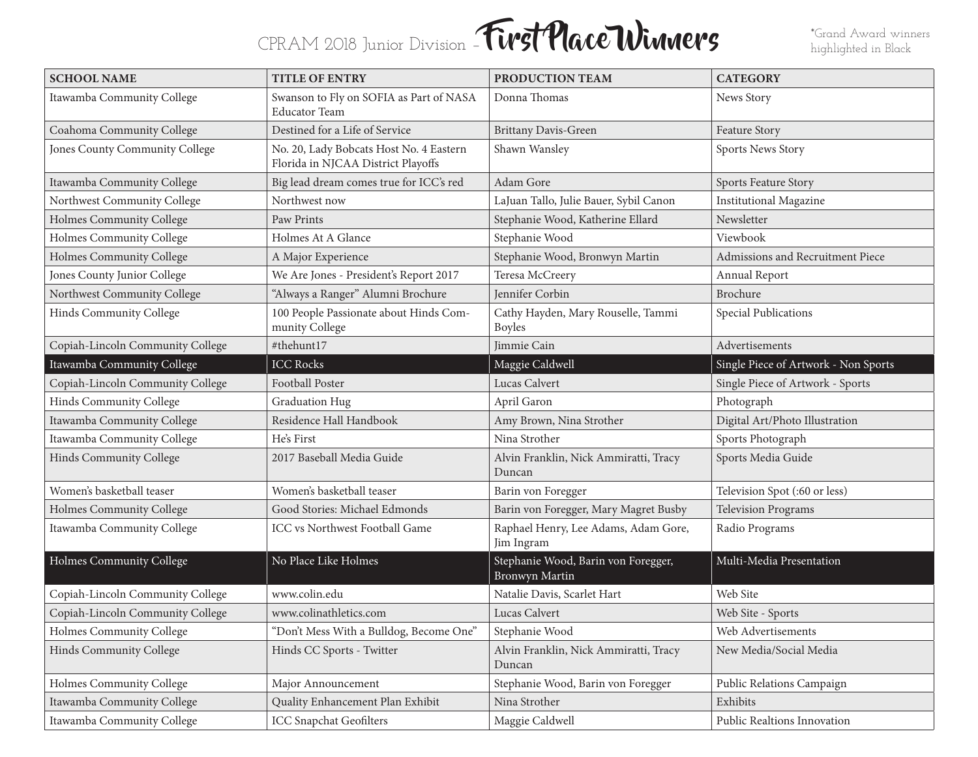## CPRAM 2018 Junior Division – **First Place Winners** \*Grand Award winners

highlighted in Black

| <b>SCHOOL NAME</b>               | <b>TITLE OF ENTRY</b>                                                         | PRODUCTION TEAM                                       | <b>CATEGORY</b>                      |
|----------------------------------|-------------------------------------------------------------------------------|-------------------------------------------------------|--------------------------------------|
| Itawamba Community College       | Swanson to Fly on SOFIA as Part of NASA<br><b>Educator Team</b>               | Donna Thomas                                          | News Story                           |
| Coahoma Community College        | Destined for a Life of Service                                                | <b>Brittany Davis-Green</b>                           | Feature Story                        |
| Jones County Community College   | No. 20, Lady Bobcats Host No. 4 Eastern<br>Florida in NJCAA District Playoffs | Shawn Wansley                                         | Sports News Story                    |
| Itawamba Community College       | Big lead dream comes true for ICC's red                                       | Adam Gore                                             | Sports Feature Story                 |
| Northwest Community College      | Northwest now                                                                 | LaJuan Tallo, Julie Bauer, Sybil Canon                | <b>Institutional Magazine</b>        |
| Holmes Community College         | Paw Prints                                                                    | Stephanie Wood, Katherine Ellard                      | Newsletter                           |
| Holmes Community College         | Holmes At A Glance                                                            | Stephanie Wood                                        | Viewbook                             |
| Holmes Community College         | A Major Experience                                                            | Stephanie Wood, Bronwyn Martin                        | Admissions and Recruitment Piece     |
| Jones County Junior College      | We Are Jones - President's Report 2017                                        | Teresa McCreery                                       | <b>Annual Report</b>                 |
| Northwest Community College      | "Always a Ranger" Alumni Brochure                                             | Jennifer Corbin                                       | <b>Brochure</b>                      |
| Hinds Community College          | 100 People Passionate about Hinds Com-<br>munity College                      | Cathy Hayden, Mary Rouselle, Tammi<br><b>Boyles</b>   | Special Publications                 |
| Copiah-Lincoln Community College | #thehunt17                                                                    | Jimmie Cain                                           | Advertisements                       |
| Itawamba Community College       | <b>ICC Rocks</b>                                                              | Maggie Caldwell                                       | Single Piece of Artwork - Non Sports |
| Copiah-Lincoln Community College | Football Poster                                                               | Lucas Calvert                                         | Single Piece of Artwork - Sports     |
| Hinds Community College          | Graduation Hug                                                                | April Garon                                           | Photograph                           |
| Itawamba Community College       | Residence Hall Handbook                                                       | Amy Brown, Nina Strother                              | Digital Art/Photo Illustration       |
| Itawamba Community College       | He's First                                                                    | Nina Strother                                         | Sports Photograph                    |
| Hinds Community College          | 2017 Baseball Media Guide                                                     | Alvin Franklin, Nick Ammiratti, Tracy<br>Duncan       | Sports Media Guide                   |
| Women's basketball teaser        | Women's basketball teaser                                                     | Barin von Foregger                                    | Television Spot (:60 or less)        |
| Holmes Community College         | Good Stories: Michael Edmonds                                                 | Barin von Foregger, Mary Magret Busby                 | <b>Television Programs</b>           |
| Itawamba Community College       | ICC vs Northwest Football Game                                                | Raphael Henry, Lee Adams, Adam Gore,<br>Jim Ingram    | Radio Programs                       |
| Holmes Community College         | No Place Like Holmes                                                          | Stephanie Wood, Barin von Foregger,<br>Bronwyn Martin | Multi-Media Presentation             |
| Copiah-Lincoln Community College | www.colin.edu                                                                 | Natalie Davis, Scarlet Hart                           | Web Site                             |
| Copiah-Lincoln Community College | www.colinathletics.com                                                        | Lucas Calvert                                         | Web Site - Sports                    |
| Holmes Community College         | "Don't Mess With a Bulldog, Become One"                                       | Stephanie Wood                                        | Web Advertisements                   |
| Hinds Community College          | Hinds CC Sports - Twitter                                                     | Alvin Franklin, Nick Ammiratti, Tracy<br>Duncan       | New Media/Social Media               |
| Holmes Community College         | Major Announcement                                                            | Stephanie Wood, Barin von Foregger                    | Public Relations Campaign            |
| Itawamba Community College       | Quality Enhancement Plan Exhibit                                              | Nina Strother                                         | Exhibits                             |
| Itawamba Community College       | <b>ICC Snapchat Geofilters</b>                                                | Maggie Caldwell                                       | Public Realtions Innovation          |